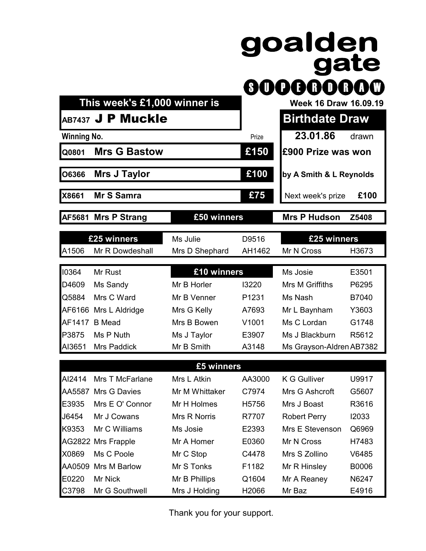## goalden<br>gate 000000000

 **This week's £1,000 winner is** Week 16 Draw 16.09.19

## **AB7437 J P Muckle Birthdate Draw**

| <b>Winning No.</b> |                     | Prize | 23.01.86                  | drawn |  |
|--------------------|---------------------|-------|---------------------------|-------|--|
| <b>Q0801</b>       | <b>Mrs G Bastow</b> | £150  | <b>E900 Prize was won</b> |       |  |
| <b>O6366</b>       | <b>Mrs J Taylor</b> | £100  | by A Smith & L Reynolds   |       |  |
| <b>X8661</b>       | <b>Mr S Samra</b>   | £75   | Next week's prize         | £100  |  |

**AF5681 Mrs P Strang £50 winners Mrs P Hudson Z5408**

| £25 winners |                       | D9516<br>Ms Julie |                   | £25 winners              |       |
|-------------|-----------------------|-------------------|-------------------|--------------------------|-------|
| A1506       | Mr R Dowdeshall       | Mrs D Shephard    | AH1462            | Mr N Cross               | H3673 |
| 10364       | Mr Rust               | £10 winners       |                   | Ms Josie                 | E3501 |
| D4609       | Ms Sandy              | Mr B Horler       | 13220             | Mrs M Griffiths          | P6295 |
| Q5884       | Mrs C Ward            | Mr B Venner       | P <sub>1231</sub> | Ms Nash                  | B7040 |
|             | AF6166 Mrs L Aldridge | Mrs G Kelly       | A7693             | Mr L Baynham             | Y3603 |
| AF1417      | <b>B</b> Mead         | Mrs B Bowen       | V <sub>1001</sub> | Ms C Lordan              | G1748 |
| P3875       | Ms P Nuth             | Ms J Taylor       | E3907             | Ms J Blackburn           | R5612 |
| AI3651      | <b>Mrs Paddick</b>    | Mr B Smith        | A3148             | Ms Grayson-Aldren AB7382 |       |

## **£5 winners**

| AI2414 | Mrs T McFarlane     | Mrs L Atkin    | AA3000 | K G Gulliver        | U9917 |
|--------|---------------------|----------------|--------|---------------------|-------|
|        | AA5587 Mrs G Davies | Mr M Whittaker | C7974  | Mrs G Ashcroft      | G5607 |
| E3935  | Mrs E O' Connor     | Mr H Holmes    | H5756  | Mrs J Boast         | R3616 |
| J6454  | Mr J Cowans         | Mrs R Norris   | R7707  | <b>Robert Perry</b> | 12033 |
| K9353  | Mr C Williams       | Ms Josie       | E2393  | Mrs E Stevenson     | Q6969 |
|        | AG2822 Mrs Frapple  | Mr A Homer     | E0360  | Mr N Cross          | H7483 |
| X0869  | Ms C Poole          | Mr C Stop      | C4478  | Mrs S Zollino       | V6485 |
| AA0509 | Mrs M Barlow        | Mr S Tonks     | F1182  | Mr R Hinsley        | B0006 |
| E0220  | Mr Nick             | Mr B Phillips  | Q1604  | Mr A Reaney         | N6247 |
| C3798  | Mr G Southwell      | Mrs J Holding  | H2066  | Mr Baz              | E4916 |

Thank you for your support.